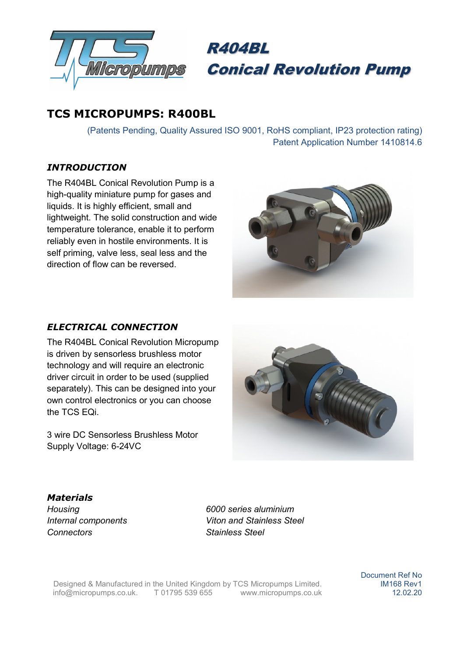



# TCS MICROPUMPS: R400BL

(Patents Pending, Quality Assured ISO 9001, RoHS compliant, IP23 protection rating) Patent Application Number 1410814.6

### INTRODUCTION

The R404BL Conical Revolution Pump is a high-quality miniature pump for gases and liquids. It is highly efficient, small and lightweight. The solid construction and wide temperature tolerance, enable it to perform reliably even in hostile environments. It is self priming, valve less, seal less and the direction of flow can be reversed.



#### ELECTRICAL CONNECTION

The R404BL Conical Revolution Micropump is driven by sensorless brushless motor technology and will require an electronic driver circuit in order to be used (supplied separately). This can be designed into your own control electronics or you can choose the TCS EQi.

3 wire DC Sensorless Brushless Motor Supply Voltage: 6-24VC



#### Materials

Connectors Stainless Steel

Housing 6000 series aluminium Internal components Viton and Stainless Steel

Designed & Manufactured in the United Kingdom by TCS Micropumps Limited. info@micropumps.co.uk. T 01795 539 655 www.micropumps.co.uk Document Ref No IM168 Rev1 12.02.20